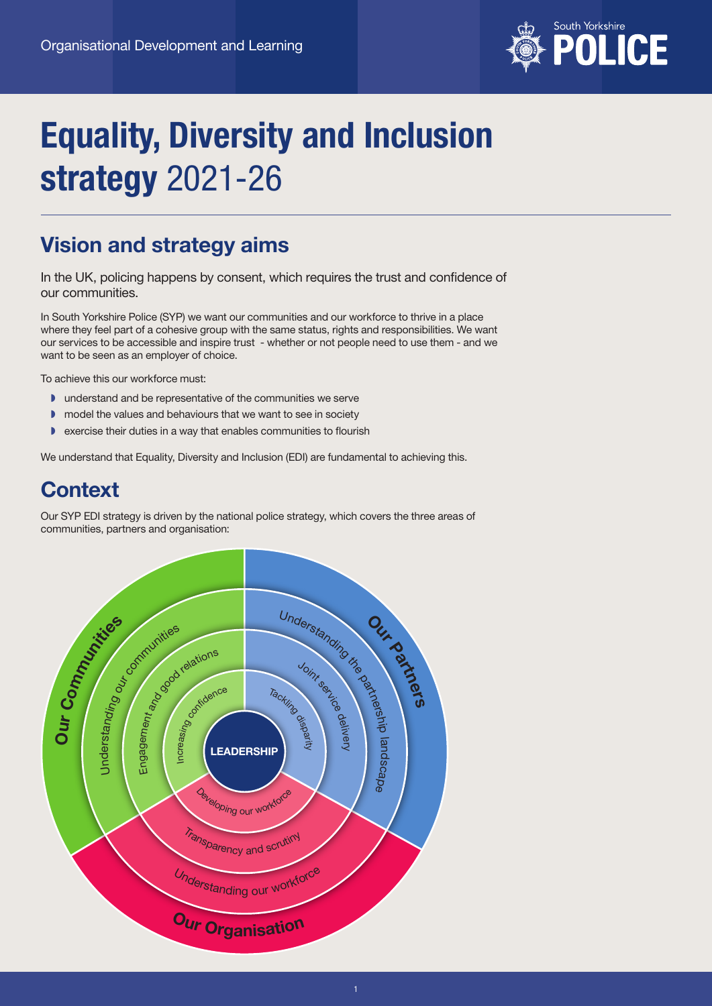

# Equality, Diversity and Inclusion strategy 2021-26

# Vision and strategy aims

In the UK, policing happens by consent, which requires the trust and confidence of our communities.

In South Yorkshire Police (SYP) we want our communities and our workforce to thrive in a place where they feel part of a cohesive group with the same status, rights and responsibilities. We want our services to be accessible and inspire trust - whether or not people need to use them - and we want to be seen as an employer of choice.

To achieve this our workforce must:

- ◗ understand and be representative of the communities we serve
- ◗ model the values and behaviours that we want to see in society
- ◗ exercise their duties in a way that enables communities to flourish

We understand that Equality, Diversity and Inclusion (EDI) are fundamental to achieving this.

# **Context**

Our SYP EDI strategy is driven by the national police strategy, which covers the three areas of communities, partners and organisation:

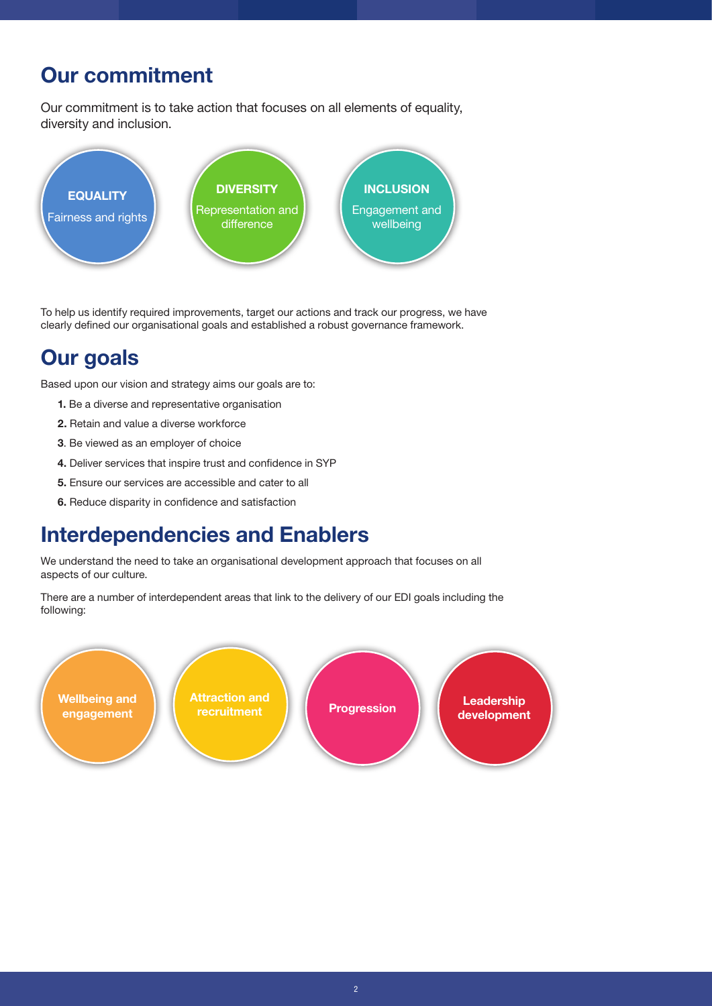# Our commitment

Our commitment is to take action that focuses on all elements of equality, diversity and inclusion.



To help us identify required improvements, target our actions and track our progress, we have clearly defined our organisational goals and established a robust governance framework.

# Our goals

Based upon our vision and strategy aims our goals are to:

- 1. Be a diverse and representative organisation
- 2. Retain and value a diverse workforce
- 3. Be viewed as an employer of choice
- 4. Deliver services that inspire trust and confidence in SYP
- 5. Ensure our services are accessible and cater to all
- 6. Reduce disparity in confidence and satisfaction

# Interdependencies and Enablers

We understand the need to take an organisational development approach that focuses on all aspects of our culture.

There are a number of interdependent areas that link to the delivery of our EDI goals including the following:

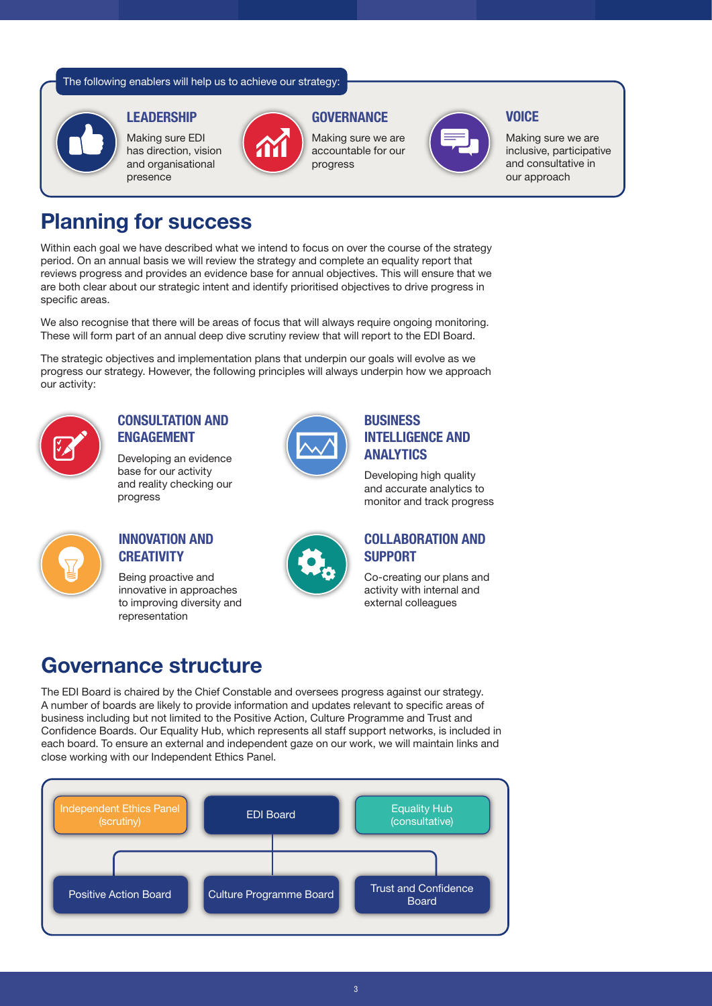The following enablers will help us to achieve our strategy:



#### **LEADERSHIP**

Making sure EDI has direction, vision and organisational presence



# **GOVERNANCE**

Making sure we are accountable for our progress



### **VOICE**

Making sure we are inclusive, participative and consultative in our approach

# Planning for success

Within each goal we have described what we intend to focus on over the course of the strategy period. On an annual basis we will review the strategy and complete an equality report that reviews progress and provides an evidence base for annual objectives. This will ensure that we are both clear about our strategic intent and identify prioritised objectives to drive progress in specific areas.

We also recognise that there will be areas of focus that will always require ongoing monitoring. These will form part of an annual deep dive scrutiny review that will report to the EDI Board.

The strategic objectives and implementation plans that underpin our goals will evolve as we progress our strategy. However, the following principles will always underpin how we approach our activity:



## CONSULTATION AND ENGAGEMENT

Developing an evidence base for our activity and reality checking our progress



### INNOVATION AND **CREATIVITY**

Being proactive and innovative in approaches to improving diversity and representation



### **BUSINESS** INTELLIGENCE AND ANALYTICS

Developing high quality and accurate analytics to monitor and track progress

### COLLABORATION AND **SUPPORT**

Co-creating our plans and activity with internal and external colleagues

# Governance structure

The EDI Board is chaired by the Chief Constable and oversees progress against our strategy. A number of boards are likely to provide information and updates relevant to specific areas of business including but not limited to the Positive Action, Culture Programme and Trust and Confidence Boards. Our Equality Hub, which represents all staff support networks, is included in each board. To ensure an external and independent gaze on our work, we will maintain links and close working with our Independent Ethics Panel.

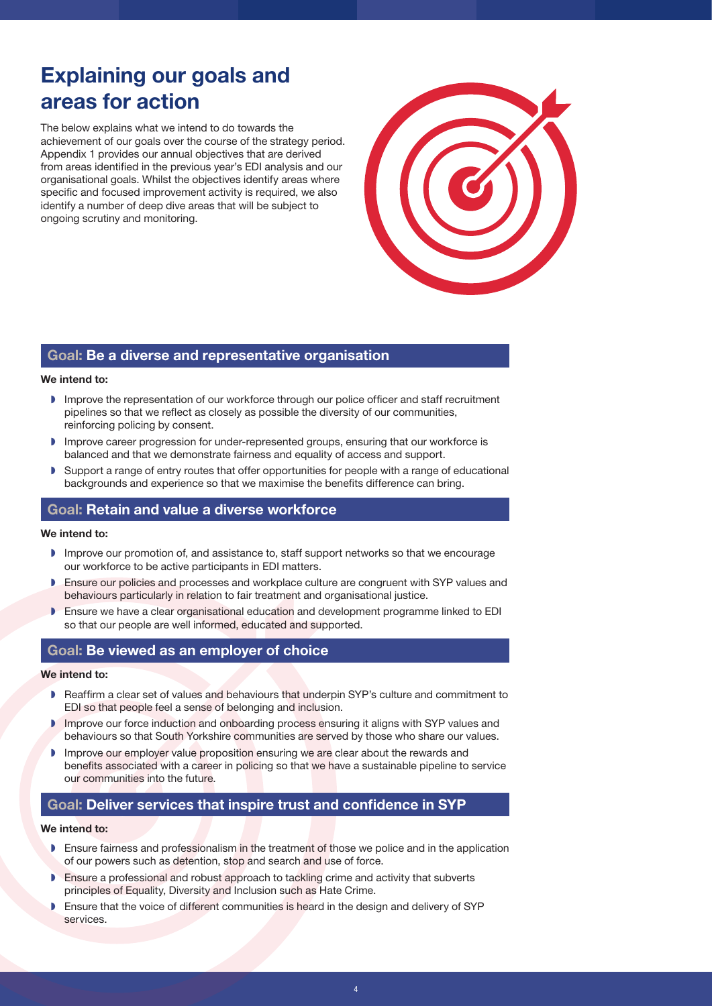# Explaining our goals and areas for action

The below explains what we intend to do towards the achievement of our goals over the course of the strategy period. Appendix 1 provides our annual objectives that are derived from areas identified in the previous year's EDI analysis and our organisational goals. Whilst the objectives identify areas where specific and focused improvement activity is required, we also identify a number of deep dive areas that will be subject to ongoing scrutiny and monitoring.

### Goal: Be a diverse and representative organisation

#### We intend to:

- ◗ Improve the representation of our workforce through our police officer and staff recruitment pipelines so that we reflect as closely as possible the diversity of our communities, reinforcing policing by consent.
- ◗ Improve career progression for under-represented groups, ensuring that our workforce is balanced and that we demonstrate fairness and equality of access and support.
- ◗ Support a range of entry routes that offer opportunities for people with a range of educational backgrounds and experience so that we maximise the benefits difference can bring.

### Goal: Retain and value a diverse workforce

#### We intend to:

- ◗ Improve our promotion of, and assistance to, staff support networks so that we encourage our workforce to be active participants in EDI matters.
- ◗ Ensure our policies and processes and workplace culture are congruent with SYP values and behaviours particularly in relation to fair treatment and organisational justice.
- ◗ Ensure we have a clear organisational education and development programme linked to EDI so that our people are well informed, educated and supported.

### Goal: Be viewed as an employer of choice

#### We intend to:

- ◗ Reaffirm a clear set of values and behaviours that underpin SYP's culture and commitment to EDI so that people feel a sense of belonging and inclusion.
- ◗ Improve our force induction and onboarding process ensuring it aligns with SYP values and behaviours so that South Yorkshire communities are served by those who share our values.
- ◗ Improve our employer value proposition ensuring we are clear about the rewards and benefits associated with a career in policing so that we have a sustainable pipeline to service our communities into the future.

### Goal: Deliver services that inspire trust and confidence in SYP

#### We intend to:

- ◗ Ensure fairness and professionalism in the treatment of those we police and in the application of our powers such as detention, stop and search and use of force.
- Ensure a professional and robust approach to tackling crime and activity that subverts principles of Equality, Diversity and Inclusion such as Hate Crime.
- ◗ Ensure that the voice of different communities is heard in the design and delivery of SYP services.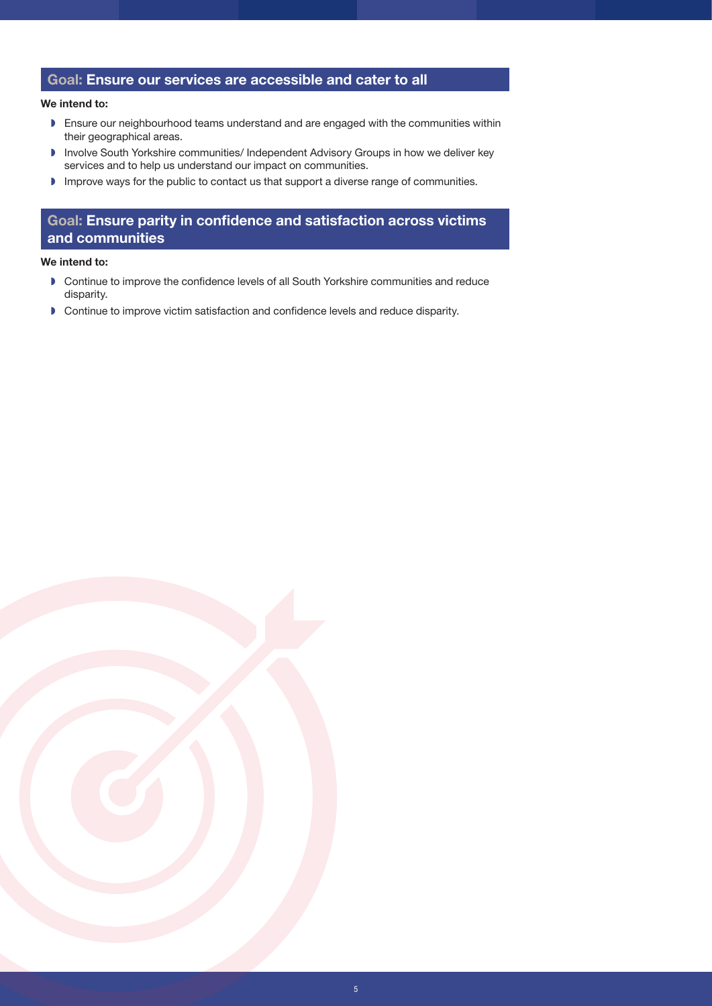### Goal: Ensure our services are accessible and cater to all

#### We intend to:

- ◗ Ensure our neighbourhood teams understand and are engaged with the communities within their geographical areas.
- ◗ Involve South Yorkshire communities/ Independent Advisory Groups in how we deliver key services and to help us understand our impact on communities.
- ◗ Improve ways for the public to contact us that support a diverse range of communities.

### Goal: Ensure parity in confidence and satisfaction across victims and communities

#### We intend to:

- ◗ Continue to improve the confidence levels of all South Yorkshire communities and reduce disparity.
- ◗ Continue to improve victim satisfaction and confidence levels and reduce disparity.